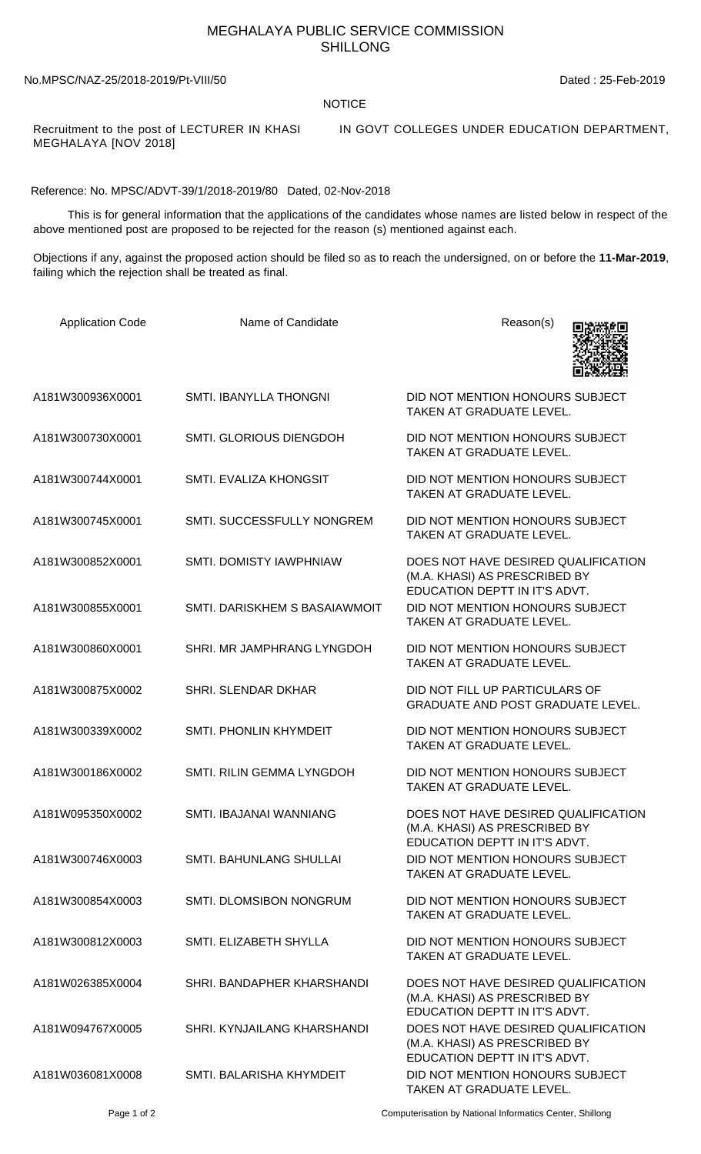## MEGHALAYA PUBLIC SERVICE COMMISSION SHILLONG

## No.MPSC/NAZ-25/2018-2019/Pt-VIII/50 Dated : 25-Feb-2019

## NOTICE

MEGHALAYA [NOV 2018]

Recruitment to the post of LECTURER IN KHASI IN GOVT COLLEGES UNDER EDUCATION DEPARTMENT,

Reference: No. MPSC/ADVT-39/1/2018-2019/80 Dated, 02-Nov-2018

 This is for general information that the applications of the candidates whose names are listed below in respect of the above mentioned post are proposed to be rejected for the reason (s) mentioned against each.

Objections if any, against the proposed action should be filed so as to reach the undersigned, on or before the **11-Mar-2019**, failing which the rejection shall be treated as final.

| <b>Application Code</b> | Name of Candidate              | Reason(s)                                                                                                                              |
|-------------------------|--------------------------------|----------------------------------------------------------------------------------------------------------------------------------------|
| A181W300936X0001        | <b>SMTI. IBANYLLA THONGNI</b>  | DID NOT MENTION HONOURS SUBJECT<br>TAKEN AT GRADUATE LEVEL.                                                                            |
| A181W300730X0001        | <b>SMTI. GLORIOUS DIENGDOH</b> | DID NOT MENTION HONOURS SUBJECT<br>TAKEN AT GRADUATE LEVEL.                                                                            |
| A181W300744X0001        | SMTI. EVALIZA KHONGSIT         | DID NOT MENTION HONOURS SUBJECT<br>TAKEN AT GRADUATE LEVEL.                                                                            |
| A181W300745X0001        | SMTI. SUCCESSFULLY NONGREM     | DID NOT MENTION HONOURS SUBJECT<br>TAKEN AT GRADUATE LEVEL.                                                                            |
| A181W300852X0001        | SMTI. DOMISTY IAWPHNIAW        | DOES NOT HAVE DESIRED QUALIFICATION<br>(M.A. KHASI) AS PRESCRIBED BY                                                                   |
| A181W300855X0001        | SMTI. DARISKHEM S BASAIAWMOIT  | EDUCATION DEPTT IN IT'S ADVT.<br>DID NOT MENTION HONOURS SUBJECT<br>TAKEN AT GRADUATE LEVEL.                                           |
| A181W300860X0001        | SHRI. MR JAMPHRANG LYNGDOH     | DID NOT MENTION HONOURS SUBJECT<br>TAKEN AT GRADUATE LEVEL.                                                                            |
| A181W300875X0002        | SHRI. SLENDAR DKHAR            | DID NOT FILL UP PARTICULARS OF<br><b>GRADUATE AND POST GRADUATE LEVEL.</b>                                                             |
| A181W300339X0002        | SMTI. PHONLIN KHYMDEIT         | DID NOT MENTION HONOURS SUBJECT<br>TAKEN AT GRADUATE LEVEL.                                                                            |
| A181W300186X0002        | SMTI. RILIN GEMMA LYNGDOH      | DID NOT MENTION HONOURS SUBJECT<br>TAKEN AT GRADUATE LEVEL.                                                                            |
| A181W095350X0002        | SMTI. IBAJANAI WANNIANG        | DOES NOT HAVE DESIRED QUALIFICATION<br>(M.A. KHASI) AS PRESCRIBED BY<br>EDUCATION DEPTT IN IT'S ADVT.                                  |
| A181W300746X0003        | <b>SMTI. BAHUNLANG SHULLAI</b> | DID NOT MENTION HONOURS SUBJECT<br>TAKEN AT GRADUATE LEVEL.                                                                            |
| A181W300854X0003        | SMTI. DLOMSIBON NONGRUM        | DID NOT MENTION HONOURS SUBJECT<br>TAKEN AT GRADUATE LEVEL.                                                                            |
| A181W300812X0003        | SMTI. ELIZABETH SHYLLA         | DID NOT MENTION HONOURS SUBJECT<br><b>TAKEN AT GRADUATE LEVEL.</b>                                                                     |
| A181W026385X0004        | SHRI. BANDAPHER KHARSHANDI     | DOES NOT HAVE DESIRED QUALIFICATION<br>(M.A. KHASI) AS PRESCRIBED BY                                                                   |
| A181W094767X0005        | SHRI. KYNJAILANG KHARSHANDI    | EDUCATION DEPTT IN IT'S ADVT.<br>DOES NOT HAVE DESIRED QUALIFICATION<br>(M.A. KHASI) AS PRESCRIBED BY<br>EDUCATION DEPTT IN IT'S ADVT. |
| A181W036081X0008        | SMTI. BALARISHA KHYMDEIT       | DID NOT MENTION HONOURS SUBJECT<br>TAKEN AT GRADUATE LEVEL.                                                                            |

Page 1 of 2 Computerisation by National Informatics Center, Shillong